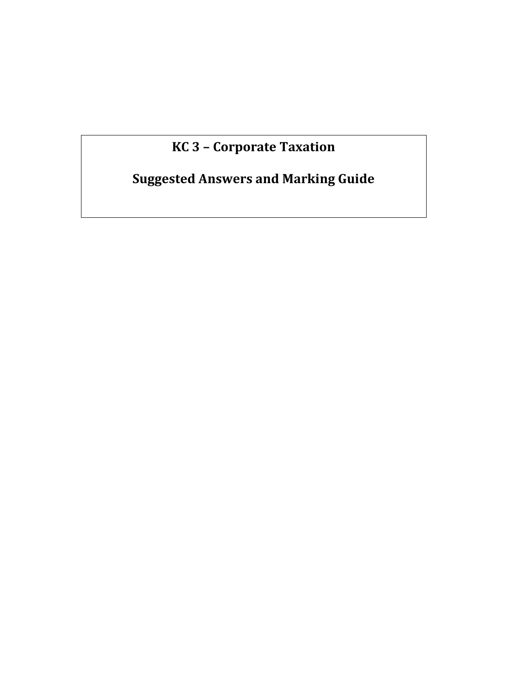# **KC 3 – Corporate Taxation**

# **Suggested Answers and Marking Guide**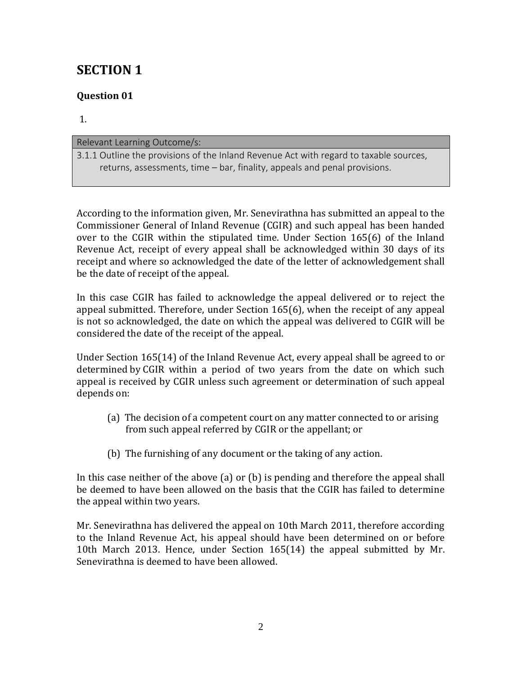## **SECTION 1**

## **Question 01**

1.

### Relevant Learning Outcome/s: 3.1.1 Outline the provisions of the Inland Revenue Act with regard to taxable sources, returns, assessments, time – bar, finality, appeals and penal provisions.

According to the information given, Mr. Senevirathna has submitted an appeal to the Commissioner General of Inland Revenue (CGIR) and such appeal has been handed over to the CGIR within the stipulated time. Under Section 165(6) of the Inland Revenue Act, receipt of every appeal shall be acknowledged within 30 days of its receipt and where so acknowledged the date of the letter of acknowledgement shall be the date of receipt of the appeal.

In this case CGIR has failed to acknowledge the appeal delivered or to reject the appeal submitted. Therefore, under Section 165(6), when the receipt of any appeal is not so acknowledged, the date on which the appeal was delivered to CGIR will be considered the date of the receipt of the appeal.

Under Section 165(14) of the Inland Revenue Act, every appeal shall be agreed to or determined by CGIR within a period of two years from the date on which such appeal is received by CGIR unless such agreement or determination of such appeal depends on:

- (a) The decision of a competent court on any matter connected to or arising from such appeal referred by CGIR or the appellant; or
- (b) The furnishing of any document or the taking of any action.

In this case neither of the above (a) or (b) is pending and therefore the appeal shall be deemed to have been allowed on the basis that the CGIR has failed to determine the appeal within two years.

Mr. Senevirathna has delivered the appeal on 10th March 2011, therefore according to the Inland Revenue Act, his appeal should have been determined on or before 10th March 2013. Hence, under Section 165(14) the appeal submitted by Mr. Senevirathna is deemed to have been allowed.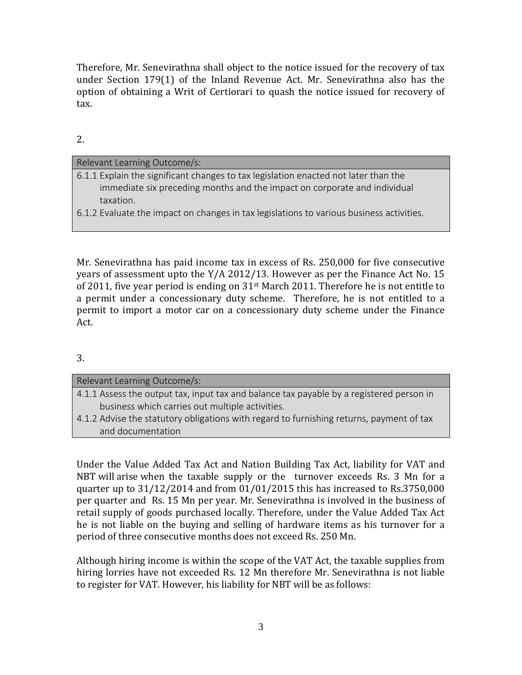Therefore, Mr. Senevirathna shall object to the notice issued for the recovery of tax under Section 179(1) of the Inland Revenue Act. Mr. Senevirathna also has the option of obtaining a Writ of Certiorari to quash the notice issued for recovery of tax.

2.

| Relevant Learning Outcome/s:                                                             |
|------------------------------------------------------------------------------------------|
| 6.1.1 Explain the significant changes to tax legislation enacted not later than the      |
| immediate six preceding months and the impact on corporate and individual                |
| taxation.                                                                                |
| 6.1.2 Evaluate the impact on changes in tax legislations to various business activities. |
|                                                                                          |

Mr. Senevirathna has paid income tax in excess of Rs. 250,000 for five consecutive years of assessment upto the Y/A 2012/13. However as per the Finance Act No. 15 of 2011, five year period is ending on  $31<sup>st</sup>$  March 2011. Therefore he is not entitle to a permit under a concessionary duty scheme. Therefore, he is not entitled to a permit to import a motor car on a concessionary duty scheme under the Finance Act.

## 3.

and documentation

## Relevant Learning Outcome/s: 4.1.1 Assess the output tax, input tax and balance tax payable by a registered person in business which carries out multiple activities. 4.1.2 Advise the statutory obligations with regard to furnishing returns, payment of tax

Under the Value Added Tax Act and Nation Building Tax Act, liability for VAT and NBT will arise when the taxable supply or the turnover exceeds Rs. 3 Mn for a quarter up to 31/12/2014 and from 01/01/2015 this has increased to Rs.3750,000 per quarter and Rs. 15 Mn per year. Mr. Senevirathna is involved in the business of retail supply of goods purchased locally. Therefore, under the Value Added Tax Act he is not liable on the buying and selling of hardware items as his turnover for a period of three consecutive months does not exceed Rs. 250 Mn.

Although hiring income is within the scope of the VAT Act, the taxable supplies from hiring lorries have not exceeded Rs. 12 Mn therefore Mr. Senevirathna is not liable to register for VAT. However, his liability for NBT will be as follows: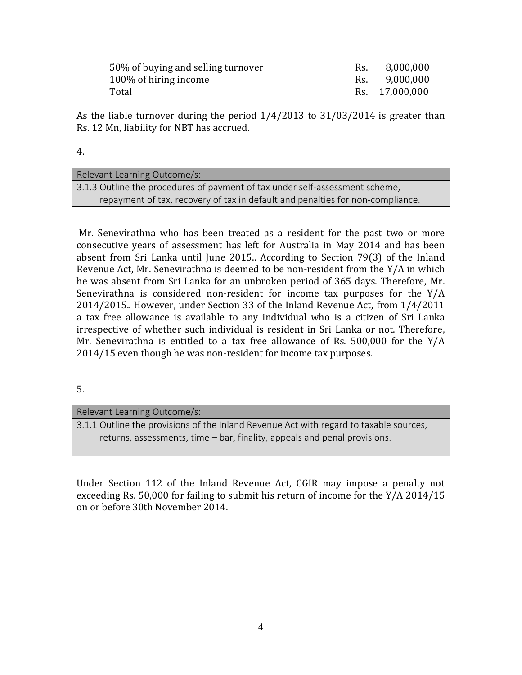| 50% of buying and selling turnover | Rs. | 8,000,000      |
|------------------------------------|-----|----------------|
| 100\% of hiring income             | Rs. | 9,000,000      |
| Total                              |     | Rs. 17,000,000 |

As the liable turnover during the period 1/4/2013 to 31/03/2014 is greater than Rs. 12 Mn, liability for NBT has accrued.

4.

| Relevant Learning Outcome/s:                                                   |  |
|--------------------------------------------------------------------------------|--|
| 3.1.3 Outline the procedures of payment of tax under self-assessment scheme,   |  |
| repayment of tax, recovery of tax in default and penalties for non-compliance. |  |

Mr. Senevirathna who has been treated as a resident for the past two or more consecutive years of assessment has left for Australia in May 2014 and has been absent from Sri Lanka until June 2015.. According to Section 79(3) of the Inland Revenue Act, Mr. Senevirathna is deemed to be non-resident from the Y/A in which he was absent from Sri Lanka for an unbroken period of 365 days. Therefore, Mr. Senevirathna is considered non-resident for income tax purposes for the Y/A 2014/2015.. However, under Section 33 of the Inland Revenue Act, from 1/4/2011 a tax free allowance is available to any individual who is a citizen of Sri Lanka irrespective of whether such individual is resident in Sri Lanka or not. Therefore, Mr. Senevirathna is entitled to a tax free allowance of Rs. 500,000 for the Y/A 2014/15 even though he was non-resident for income tax purposes.

5.

### Relevant Learning Outcome/s:

3.1.1 Outline the provisions of the Inland Revenue Act with regard to taxable sources, returns, assessments, time – bar, finality, appeals and penal provisions.

Under Section 112 of the Inland Revenue Act, CGIR may impose a penalty not exceeding Rs. 50,000 for failing to submit his return of income for the Y/A 2014/15 on or before 30th November 2014.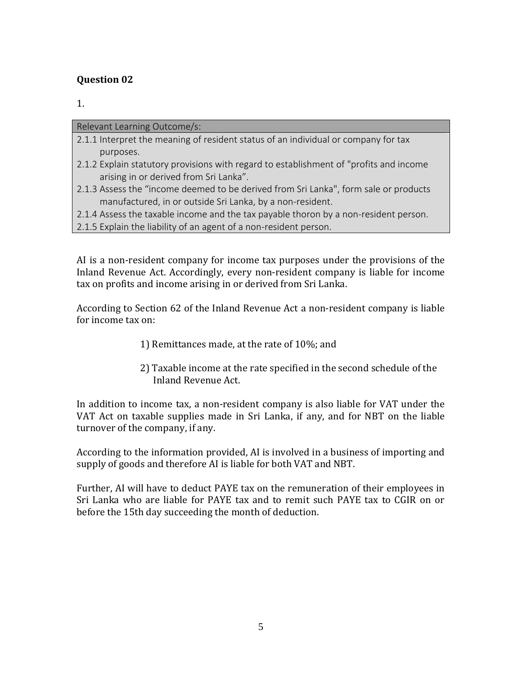### **Question 02**

1.

Relevant Learning Outcome/s:

- 2.1.1 Interpret the meaning of resident status of an individual or company for tax purposes.
- 2.1.2 Explain statutory provisions with regard to establishment of "profits and income arising in or derived from Sri Lanka".
- 2.1.3 Assess the "income deemed to be derived from Sri Lanka", form sale or products manufactured, in or outside Sri Lanka, by a non-resident.
- 2.1.4 Assess the taxable income and the tax payable thoron by a non-resident person.
- 2.1.5 Explain the liability of an agent of a non-resident person.

AI is a non-resident company for income tax purposes under the provisions of the Inland Revenue Act. Accordingly, every non-resident company is liable for income tax on profits and income arising in or derived from Sri Lanka.

According to Section 62 of the Inland Revenue Act a non-resident company is liable for income tax on:

- 1) Remittances made, at the rate of 10%; and
- 2) Taxable income at the rate specified in the second schedule of the Inland Revenue Act.

In addition to income tax, a non-resident company is also liable for VAT under the VAT Act on taxable supplies made in Sri Lanka, if any, and for NBT on the liable turnover of the company, if any.

According to the information provided, AI is involved in a business of importing and supply of goods and therefore AI is liable for both VAT and NBT.

Further, AI will have to deduct PAYE tax on the remuneration of their employees in Sri Lanka who are liable for PAYE tax and to remit such PAYE tax to CGIR on or before the 15th day succeeding the month of deduction.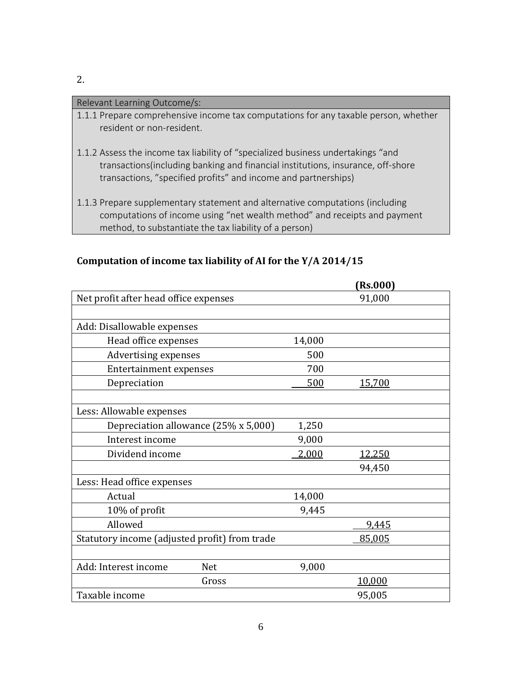### Relevant Learning Outcome/s:

- 1.1.1 Prepare comprehensive income tax computations for any taxable person, whether resident or non-resident.
- 1.1.2 Assess the income tax liability of "specialized business undertakings "and transactions(including banking and financial institutions, insurance, off-shore transactions, "specified profits" and income and partnerships)
- 1.1.3 Prepare supplementary statement and alternative computations (including computations of income using "net wealth method" and receipts and payment method, to substantiate the tax liability of a person)

|                                               |        | (Rs.000)      |
|-----------------------------------------------|--------|---------------|
| Net profit after head office expenses         |        | 91,000        |
|                                               |        |               |
| Add: Disallowable expenses                    |        |               |
| Head office expenses                          | 14,000 |               |
| <b>Advertising expenses</b>                   | 500    |               |
| <b>Entertainment expenses</b>                 | 700    |               |
| Depreciation                                  | 500    | <u>15,700</u> |
|                                               |        |               |
| Less: Allowable expenses                      |        |               |
| Depreciation allowance (25% x 5,000)          | 1,250  |               |
| Interest income                               | 9,000  |               |
| Dividend income                               | 2,000  | 12,250        |
|                                               |        | 94,450        |
| Less: Head office expenses                    |        |               |
| Actual                                        | 14,000 |               |
| 10% of profit                                 | 9,445  |               |
| Allowed                                       |        | 9,445         |
| Statutory income (adjusted profit) from trade |        | 85,005        |
|                                               |        |               |
| Add: Interest income<br><b>Net</b>            | 9,000  |               |
| Gross                                         |        | 10,000        |
| Taxable income                                |        | 95,005        |

### **Computation of income tax liability of AI for the Y/A 2014/15**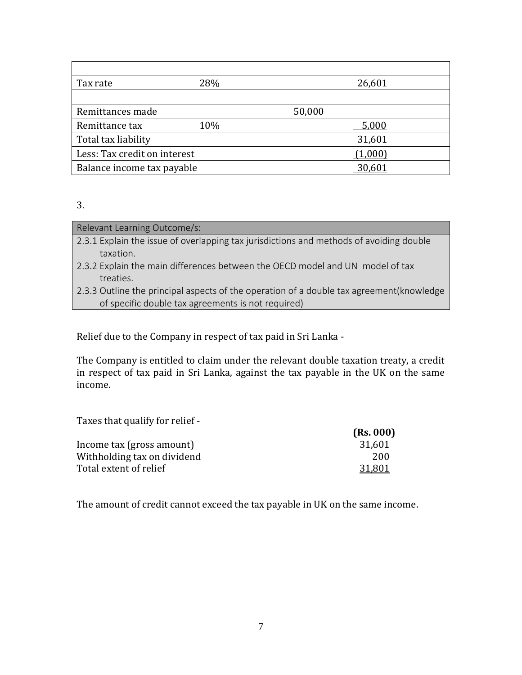| Tax rate                     | 28% | 26,601  |  |
|------------------------------|-----|---------|--|
|                              |     |         |  |
| Remittances made             |     | 50,000  |  |
| Remittance tax               | 10% | 5.000   |  |
| Total tax liability          |     | 31,601  |  |
| Less: Tax credit on interest |     | (1,000) |  |
| Balance income tax payable   |     | 30,601  |  |

<sup>3.</sup>

| Relevant Learning Outcome/s:                                                            |  |
|-----------------------------------------------------------------------------------------|--|
| 2.3.1 Explain the issue of overlapping tax jurisdictions and methods of avoiding double |  |
| taxation.                                                                               |  |
| 2.3.2 Explain the main differences between the OECD model and UN model of tax           |  |
| treaties.                                                                               |  |
|                                                                                         |  |

2.3.3 Outline the principal aspects of the operation of a double tax agreement(knowledge of specific double tax agreements is not required)

Relief due to the Company in respect of tax paid in Sri Lanka -

The Company is entitled to claim under the relevant double taxation treaty, a credit in respect of tax paid in Sri Lanka, against the tax payable in the UK on the same income.

Taxes that qualify for relief -

| (Rs. 000) |
|-----------|
| 31,601    |
| 200       |
| 31.801    |
|           |

The amount of credit cannot exceed the tax payable in UK on the same income.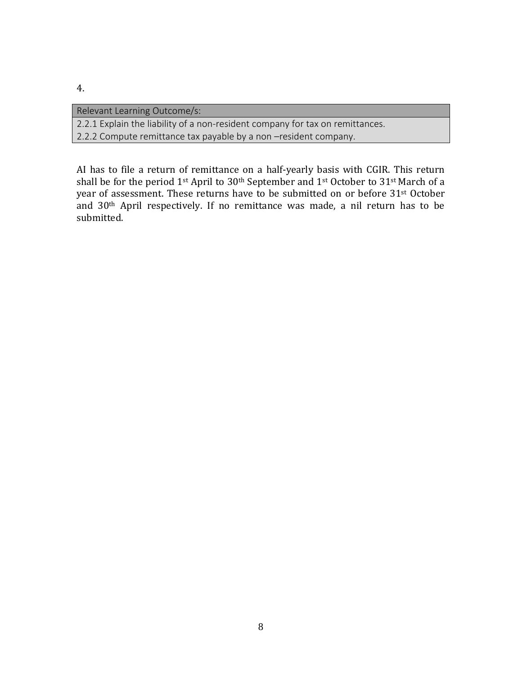| Relevant Learning Outcome/s:                                                  |
|-------------------------------------------------------------------------------|
| 2.2.1 Explain the liability of a non-resident company for tax on remittances. |
| 2.2.2 Compute remittance tax payable by a non -resident company.              |

AI has to file a return of remittance on a half-yearly basis with CGIR. This return shall be for the period 1<sup>st</sup> April to 30<sup>th</sup> September and 1<sup>st</sup> October to 31<sup>st</sup> March of a year of assessment. These returns have to be submitted on or before 31st October and 30th April respectively. If no remittance was made, a nil return has to be submitted.

8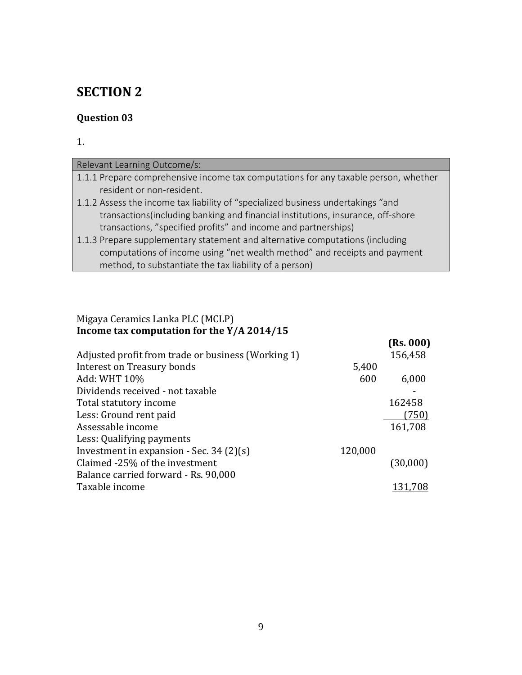## **SECTION 2**

## **Question 03**

### 1.

| Relevant Learning Outcome/s:                                                        |
|-------------------------------------------------------------------------------------|
| 1.1.1 Prepare comprehensive income tax computations for any taxable person, whether |
| resident or non-resident.                                                           |
| 1.1.2 Assess the income tax liability of "specialized business undertakings "and    |
| transactions (including banking and financial institutions, insurance, off-shore    |
| transactions, "specified profits" and income and partnerships)                      |
| 1.1.3 Prepare supplementary statement and alternative computations (including       |
| computations of income using "net wealth method" and receipts and payment           |
| method, to substantiate the tax liability of a person)                              |

### Migaya Ceramics Lanka PLC (MCLP) **Income tax computation for the Y/A 2014/15**

|                                                    |         | (Rs. 000) |
|----------------------------------------------------|---------|-----------|
| Adjusted profit from trade or business (Working 1) |         | 156,458   |
| Interest on Treasury bonds                         | 5,400   |           |
| Add: WHT 10%                                       | 600     | 6,000     |
| Dividends received - not taxable                   |         |           |
| Total statutory income                             |         | 162458    |
| Less: Ground rent paid                             |         | (750)     |
| Assessable income                                  |         | 161,708   |
| Less: Qualifying payments                          |         |           |
| Investment in expansion - Sec. 34 $(2)(s)$         | 120,000 |           |
| Claimed -25% of the investment                     |         | (30,000)  |
| Balance carried forward - Rs. 90,000               |         |           |
| Taxable income                                     |         | 131,708   |
|                                                    |         |           |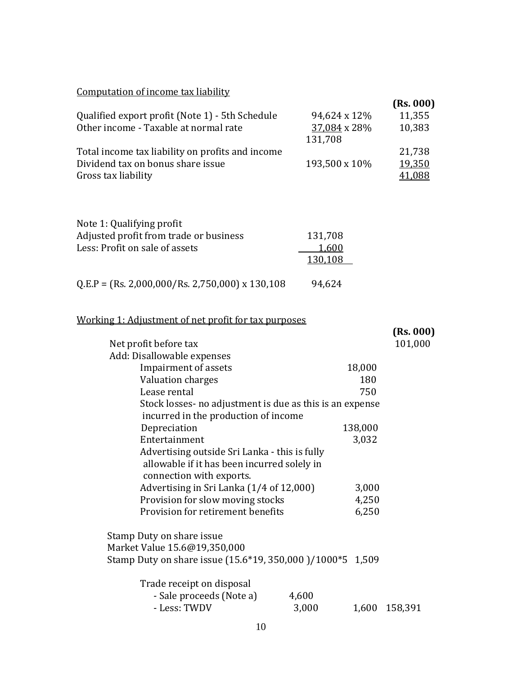## Computation of income tax liability

|                                                  |               | (Rs. 000) |
|--------------------------------------------------|---------------|-----------|
| Qualified export profit (Note 1) - 5th Schedule  | 94,624 x 12%  | 11,355    |
| Other income - Taxable at normal rate            | 37,084 x 28%  | 10,383    |
|                                                  | 131,708       |           |
| Total income tax liability on profits and income |               | 21,738    |
| Dividend tax on bonus share issue                | 193,500 x 10% | 19,350    |
| Gross tax liability                              |               | 41,088    |

| Note 1: Qualifying profit                           |         |
|-----------------------------------------------------|---------|
| Adjusted profit from trade or business              | 131,708 |
| Less: Profit on sale of assets                      | 1,600   |
|                                                     | 130,108 |
|                                                     |         |
| $Q.E.P = (Rs. 2,000,000 / Rs. 2,750,000)$ x 130,108 | 94,624  |

### Working 1: Adjustment of net profit for tax purposes

| Net profit before tax                                     |       |         | (Rs. 000)<br>101,000 |
|-----------------------------------------------------------|-------|---------|----------------------|
| Add: Disallowable expenses                                |       |         |                      |
| Impairment of assets                                      |       | 18,000  |                      |
| Valuation charges                                         |       | 180     |                      |
| Lease rental                                              |       | 750     |                      |
| Stock losses - no adjustment is due as this is an expense |       |         |                      |
| incurred in the production of income                      |       |         |                      |
| Depreciation                                              |       | 138,000 |                      |
| Entertainment                                             |       | 3,032   |                      |
| Advertising outside Sri Lanka - this is fully             |       |         |                      |
| allowable if it has been incurred solely in               |       |         |                      |
| connection with exports.                                  |       |         |                      |
| Advertising in Sri Lanka (1/4 of 12,000)                  |       | 3,000   |                      |
| Provision for slow moving stocks                          |       | 4,250   |                      |
| Provision for retirement benefits                         |       | 6,250   |                      |
| Stamp Duty on share issue                                 |       |         |                      |
| Market Value 15.6@19,350,000                              |       |         |                      |
| Stamp Duty on share issue (15.6*19, 350,000)/1000*5 1,509 |       |         |                      |
| Trade receipt on disposal                                 |       |         |                      |
| - Sale proceeds (Note a)                                  | 4,600 |         |                      |
| - Less: TWDV                                              | 3,000 | 1,600   | 158,391              |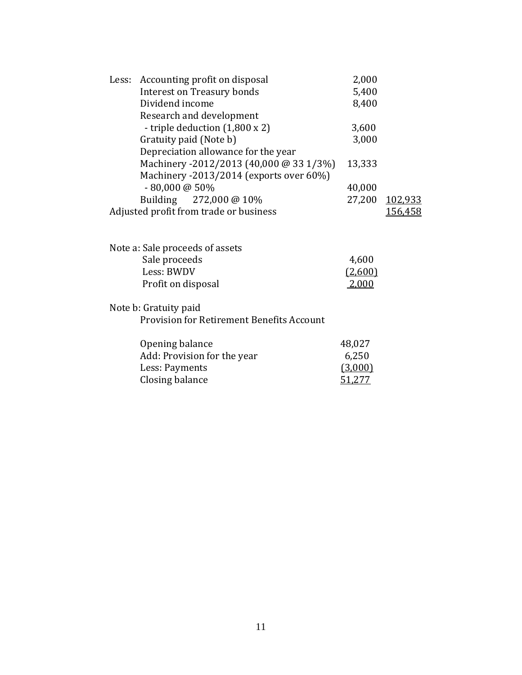| Less: Accounting profit on disposal              | 2,000   |                |
|--------------------------------------------------|---------|----------------|
| <b>Interest on Treasury bonds</b>                | 5,400   |                |
| Dividend income                                  | 8,400   |                |
| Research and development                         |         |                |
| - triple deduction (1,800 x 2)                   | 3,600   |                |
| Gratuity paid (Note b)                           | 3,000   |                |
| Depreciation allowance for the year              |         |                |
| Machinery -2012/2013 (40,000 @ 33 1/3%)          | 13,333  |                |
| Machinery -2013/2014 (exports over 60%)          |         |                |
| $-80,000$ @ 50%                                  | 40,000  |                |
| Building 272,000 @ 10%                           |         | 27,200 102,933 |
| Adjusted profit from trade or business           |         | 156,458        |
|                                                  |         |                |
|                                                  |         |                |
| Note a: Sale proceeds of assets                  |         |                |
| Sale proceeds                                    | 4,600   |                |
| Less: BWDV                                       | (2,600) |                |
| Profit on disposal                               | 2,000   |                |
| Note b: Gratuity paid                            |         |                |
| <b>Provision for Retirement Benefits Account</b> |         |                |

Opening balance 48,027

| Add: Provision for the year | 6,250   |
|-----------------------------|---------|
| Less: Payments              | (3,000) |
| Closing balance             | 51,277  |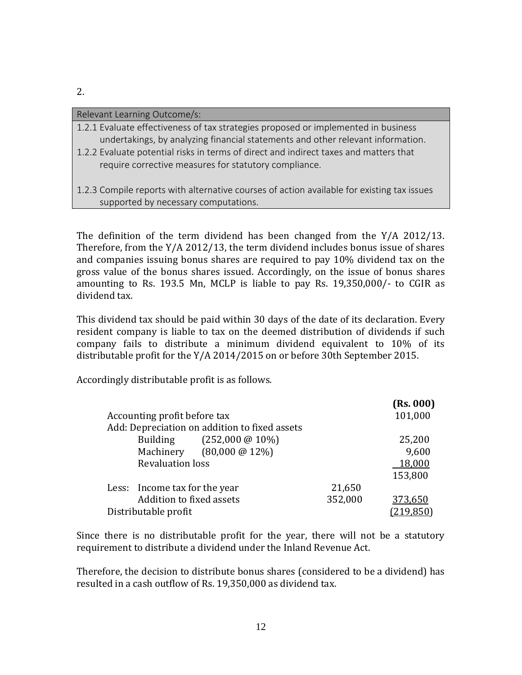| Relevant Learning Outcome/s: |  |
|------------------------------|--|
|------------------------------|--|

- 1.2.1 Evaluate effectiveness of tax strategies proposed or implemented in business undertakings, by analyzing financial statements and other relevant information.
- 1.2.2 Evaluate potential risks in terms of direct and indirect taxes and matters that require corrective measures for statutory compliance.
- 1.2.3 Compile reports with alternative courses of action available for existing tax issues supported by necessary computations.

The definition of the term dividend has been changed from the Y/A 2012/13. Therefore, from the Y/A 2012/13, the term dividend includes bonus issue of shares and companies issuing bonus shares are required to pay 10% dividend tax on the gross value of the bonus shares issued. Accordingly, on the issue of bonus shares amounting to Rs. 193.5 Mn, MCLP is liable to pay Rs. 19,350,000/- to CGIR as dividend tax.

This dividend tax should be paid within 30 days of the date of its declaration. Every resident company is liable to tax on the deemed distribution of dividends if such company fails to distribute a minimum dividend equivalent to 10% of its distributable profit for the Y/A 2014/2015 on or before 30th September 2015.

Accordingly distributable profit is as follows.

|                                               |         | (Rs. 000)  |
|-----------------------------------------------|---------|------------|
| Accounting profit before tax                  |         | 101,000    |
| Add: Depreciation on addition to fixed assets |         |            |
| Building (252,000 @ 10%)                      |         | 25,200     |
| Machinery (80,000 @ 12%)                      |         | 9,600      |
| <b>Revaluation loss</b>                       |         | 18,000     |
|                                               |         | 153,800    |
| Less: Income tax for the year                 | 21,650  |            |
| Addition to fixed assets                      | 352,000 | 373,650    |
| Distributable profit                          |         | (219, 850) |

Since there is no distributable profit for the year, there will not be a statutory requirement to distribute a dividend under the Inland Revenue Act.

Therefore, the decision to distribute bonus shares (considered to be a dividend) has resulted in a cash outflow of Rs. 19,350,000 as dividend tax.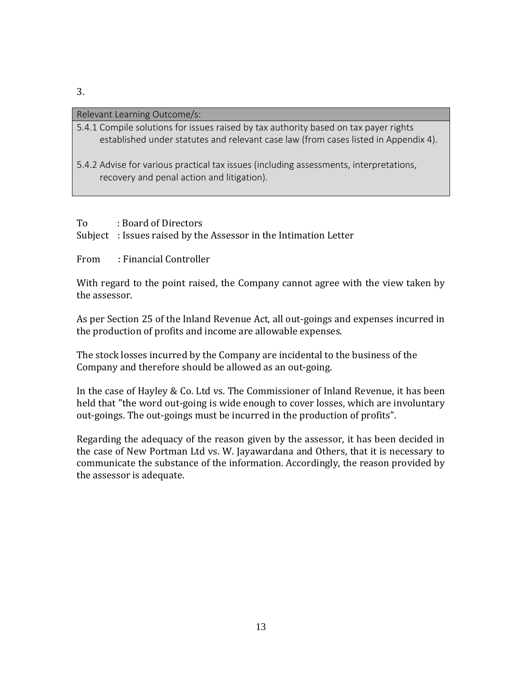#### Relevant Learning Outcome/s:

- 5.4.1 Compile solutions for issues raised by tax authority based on tax payer rights established under statutes and relevant case law (from cases listed in Appendix 4).
- 5.4.2 Advise for various practical tax issues (including assessments, interpretations, recovery and penal action and litigation).

### To : Board of Directors

Subject : Issues raised by the Assessor in the Intimation Letter

### From : Financial Controller

With regard to the point raised, the Company cannot agree with the view taken by the assessor.

As per Section 25 of the Inland Revenue Act, all out-goings and expenses incurred in the production of profits and income are allowable expenses.

The stock losses incurred by the Company are incidental to the business of the Company and therefore should be allowed as an out-going.

In the case of Hayley & Co. Ltd vs. The Commissioner of Inland Revenue, it has been held that "the word out-going is wide enough to cover losses, which are involuntary out-goings. The out-goings must be incurred in the production of profits".

Regarding the adequacy of the reason given by the assessor, it has been decided in the case of New Portman Ltd vs. W. Jayawardana and Others, that it is necessary to communicate the substance of the information. Accordingly, the reason provided by the assessor is adequate.